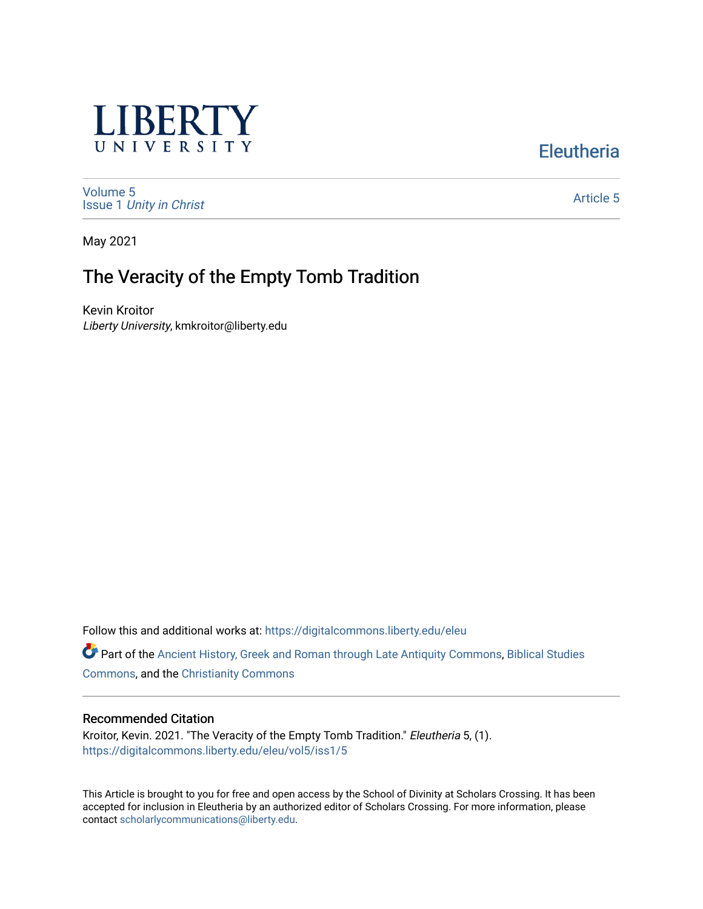

**Eleutheria** 

[Volume 5](https://digitalcommons.liberty.edu/eleu/vol5) Issue 1 [Unity in Christ](https://digitalcommons.liberty.edu/eleu/vol5/iss1) 

[Article 5](https://digitalcommons.liberty.edu/eleu/vol5/iss1/5) 

May 2021

# The Veracity of the Empty Tomb Tradition

Kevin Kroitor Liberty University, kmkroitor@liberty.edu

Follow this and additional works at: [https://digitalcommons.liberty.edu/eleu](https://digitalcommons.liberty.edu/eleu?utm_source=digitalcommons.liberty.edu%2Feleu%2Fvol5%2Fiss1%2F5&utm_medium=PDF&utm_campaign=PDFCoverPages) 

Part of the [Ancient History, Greek and Roman through Late Antiquity Commons](http://network.bepress.com/hgg/discipline/447?utm_source=digitalcommons.liberty.edu%2Feleu%2Fvol5%2Fiss1%2F5&utm_medium=PDF&utm_campaign=PDFCoverPages), [Biblical Studies](http://network.bepress.com/hgg/discipline/539?utm_source=digitalcommons.liberty.edu%2Feleu%2Fvol5%2Fiss1%2F5&utm_medium=PDF&utm_campaign=PDFCoverPages)  [Commons](http://network.bepress.com/hgg/discipline/539?utm_source=digitalcommons.liberty.edu%2Feleu%2Fvol5%2Fiss1%2F5&utm_medium=PDF&utm_campaign=PDFCoverPages), and the [Christianity Commons](http://network.bepress.com/hgg/discipline/1181?utm_source=digitalcommons.liberty.edu%2Feleu%2Fvol5%2Fiss1%2F5&utm_medium=PDF&utm_campaign=PDFCoverPages) 

### Recommended Citation

Kroitor, Kevin. 2021. "The Veracity of the Empty Tomb Tradition." Eleutheria 5, (1). [https://digitalcommons.liberty.edu/eleu/vol5/iss1/5](https://digitalcommons.liberty.edu/eleu/vol5/iss1/5?utm_source=digitalcommons.liberty.edu%2Feleu%2Fvol5%2Fiss1%2F5&utm_medium=PDF&utm_campaign=PDFCoverPages) 

This Article is brought to you for free and open access by the School of Divinity at Scholars Crossing. It has been accepted for inclusion in Eleutheria by an authorized editor of Scholars Crossing. For more information, please contact [scholarlycommunications@liberty.edu](mailto:scholarlycommunications@liberty.edu).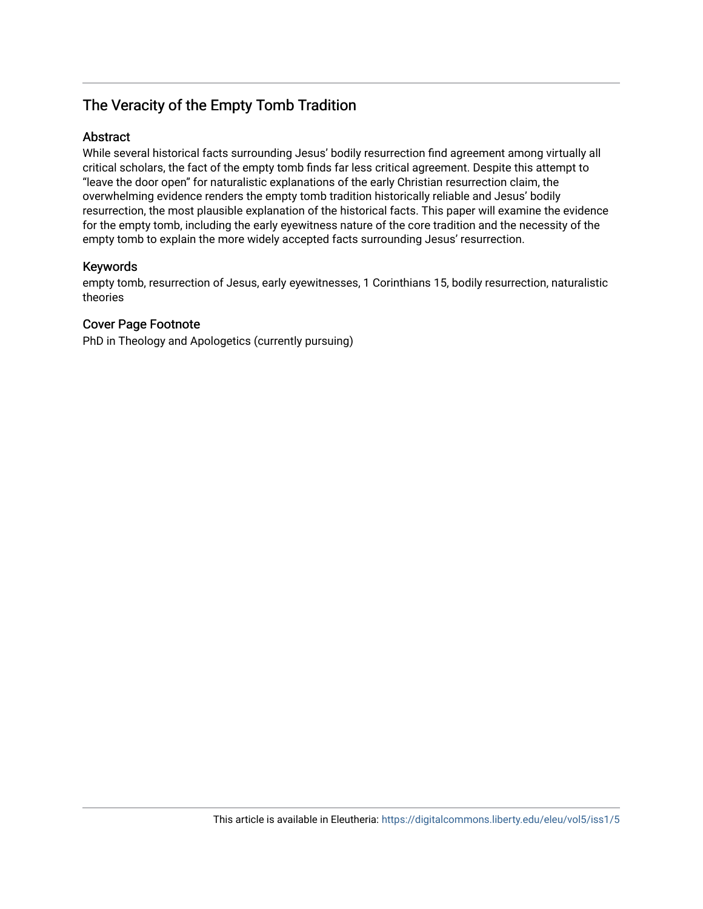# The Veracity of the Empty Tomb Tradition

# **Abstract**

While several historical facts surrounding Jesus' bodily resurrection find agreement among virtually all critical scholars, the fact of the empty tomb finds far less critical agreement. Despite this attempt to "leave the door open" for naturalistic explanations of the early Christian resurrection claim, the overwhelming evidence renders the empty tomb tradition historically reliable and Jesus' bodily resurrection, the most plausible explanation of the historical facts. This paper will examine the evidence for the empty tomb, including the early eyewitness nature of the core tradition and the necessity of the empty tomb to explain the more widely accepted facts surrounding Jesus' resurrection.

# Keywords

empty tomb, resurrection of Jesus, early eyewitnesses, 1 Corinthians 15, bodily resurrection, naturalistic theories

# Cover Page Footnote

PhD in Theology and Apologetics (currently pursuing)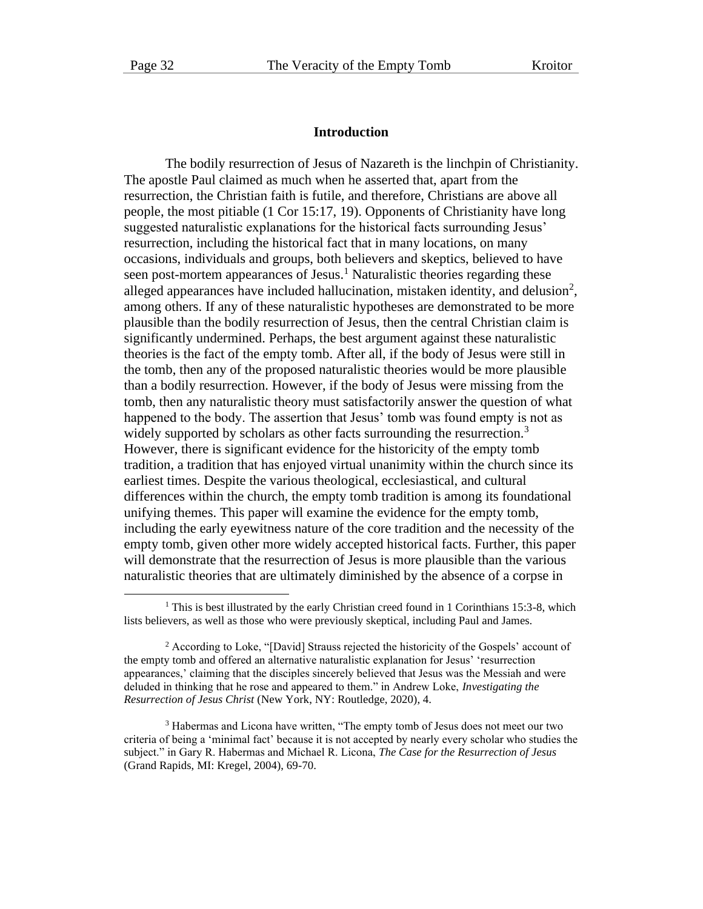#### **Introduction**

The bodily resurrection of Jesus of Nazareth is the linchpin of Christianity. The apostle Paul claimed as much when he asserted that, apart from the resurrection, the Christian faith is futile, and therefore, Christians are above all people, the most pitiable (1 Cor 15:17, 19). Opponents of Christianity have long suggested naturalistic explanations for the historical facts surrounding Jesus' resurrection, including the historical fact that in many locations, on many occasions, individuals and groups, both believers and skeptics, believed to have seen post-mortem appearances of Jesus.<sup>1</sup> Naturalistic theories regarding these alleged appearances have included hallucination, mistaken identity, and delusion<sup>2</sup>, among others. If any of these naturalistic hypotheses are demonstrated to be more plausible than the bodily resurrection of Jesus, then the central Christian claim is significantly undermined. Perhaps, the best argument against these naturalistic theories is the fact of the empty tomb. After all, if the body of Jesus were still in the tomb, then any of the proposed naturalistic theories would be more plausible than a bodily resurrection. However, if the body of Jesus were missing from the tomb, then any naturalistic theory must satisfactorily answer the question of what happened to the body. The assertion that Jesus' tomb was found empty is not as widely supported by scholars as other facts surrounding the resurrection.<sup>3</sup> However, there is significant evidence for the historicity of the empty tomb tradition, a tradition that has enjoyed virtual unanimity within the church since its earliest times. Despite the various theological, ecclesiastical, and cultural differences within the church, the empty tomb tradition is among its foundational unifying themes. This paper will examine the evidence for the empty tomb, including the early eyewitness nature of the core tradition and the necessity of the empty tomb, given other more widely accepted historical facts. Further, this paper will demonstrate that the resurrection of Jesus is more plausible than the various naturalistic theories that are ultimately diminished by the absence of a corpse in

<sup>&</sup>lt;sup>1</sup> This is best illustrated by the early Christian creed found in 1 Corinthians 15:3-8, which lists believers, as well as those who were previously skeptical, including Paul and James.

<sup>2</sup> According to Loke, "[David] Strauss rejected the historicity of the Gospels' account of the empty tomb and offered an alternative naturalistic explanation for Jesus' 'resurrection appearances,' claiming that the disciples sincerely believed that Jesus was the Messiah and were deluded in thinking that he rose and appeared to them." in Andrew Loke, *Investigating the Resurrection of Jesus Christ* (New York, NY: Routledge, 2020), 4.

<sup>&</sup>lt;sup>3</sup> Habermas and Licona have written, "The empty tomb of Jesus does not meet our two criteria of being a 'minimal fact' because it is not accepted by nearly every scholar who studies the subject." in Gary R. Habermas and Michael R. Licona, *The Case for the Resurrection of Jesus* (Grand Rapids, MI: Kregel, 2004), 69-70.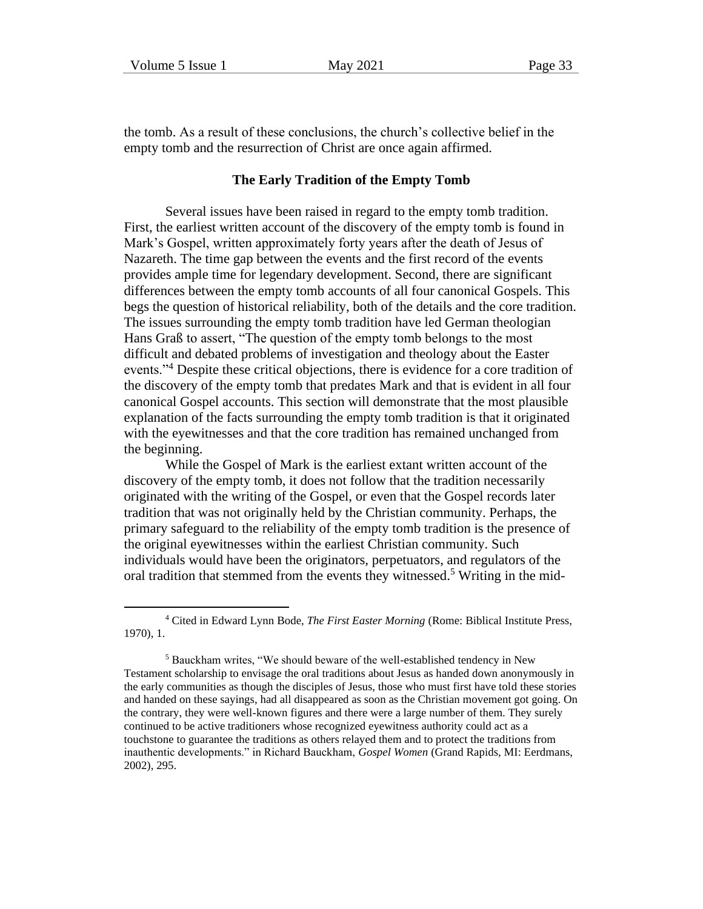the tomb. As a result of these conclusions, the church's collective belief in the empty tomb and the resurrection of Christ are once again affirmed.

#### **The Early Tradition of the Empty Tomb**

Several issues have been raised in regard to the empty tomb tradition. First, the earliest written account of the discovery of the empty tomb is found in Mark's Gospel, written approximately forty years after the death of Jesus of Nazareth. The time gap between the events and the first record of the events provides ample time for legendary development. Second, there are significant differences between the empty tomb accounts of all four canonical Gospels. This begs the question of historical reliability, both of the details and the core tradition. The issues surrounding the empty tomb tradition have led German theologian Hans Graß to assert, "The question of the empty tomb belongs to the most difficult and debated problems of investigation and theology about the Easter events."<sup>4</sup> Despite these critical objections, there is evidence for a core tradition of the discovery of the empty tomb that predates Mark and that is evident in all four canonical Gospel accounts. This section will demonstrate that the most plausible explanation of the facts surrounding the empty tomb tradition is that it originated with the eyewitnesses and that the core tradition has remained unchanged from the beginning.

While the Gospel of Mark is the earliest extant written account of the discovery of the empty tomb, it does not follow that the tradition necessarily originated with the writing of the Gospel, or even that the Gospel records later tradition that was not originally held by the Christian community. Perhaps, the primary safeguard to the reliability of the empty tomb tradition is the presence of the original eyewitnesses within the earliest Christian community. Such individuals would have been the originators, perpetuators, and regulators of the oral tradition that stemmed from the events they witnessed.<sup>5</sup> Writing in the mid-

<sup>4</sup> Cited in Edward Lynn Bode, *The First Easter Morning* (Rome: Biblical Institute Press, 1970), 1.

<sup>5</sup> Bauckham writes, "We should beware of the well-established tendency in New Testament scholarship to envisage the oral traditions about Jesus as handed down anonymously in the early communities as though the disciples of Jesus, those who must first have told these stories and handed on these sayings, had all disappeared as soon as the Christian movement got going. On the contrary, they were well-known figures and there were a large number of them. They surely continued to be active traditioners whose recognized eyewitness authority could act as a touchstone to guarantee the traditions as others relayed them and to protect the traditions from inauthentic developments." in Richard Bauckham, *Gospel Women* (Grand Rapids, MI: Eerdmans, 2002), 295.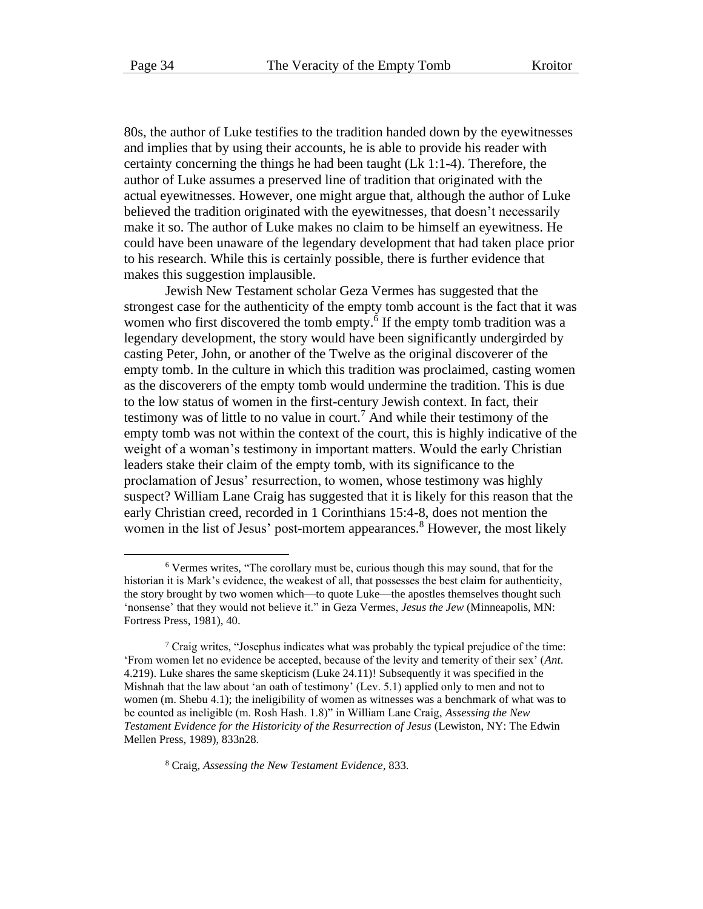80s, the author of Luke testifies to the tradition handed down by the eyewitnesses and implies that by using their accounts, he is able to provide his reader with certainty concerning the things he had been taught (Lk 1:1-4). Therefore, the author of Luke assumes a preserved line of tradition that originated with the actual eyewitnesses. However, one might argue that, although the author of Luke believed the tradition originated with the eyewitnesses, that doesn't necessarily make it so. The author of Luke makes no claim to be himself an eyewitness. He could have been unaware of the legendary development that had taken place prior to his research. While this is certainly possible, there is further evidence that makes this suggestion implausible.

Jewish New Testament scholar Geza Vermes has suggested that the strongest case for the authenticity of the empty tomb account is the fact that it was women who first discovered the tomb empty.<sup>6</sup> If the empty tomb tradition was a legendary development, the story would have been significantly undergirded by casting Peter, John, or another of the Twelve as the original discoverer of the empty tomb. In the culture in which this tradition was proclaimed, casting women as the discoverers of the empty tomb would undermine the tradition. This is due to the low status of women in the first-century Jewish context. In fact, their testimony was of little to no value in court. <sup>7</sup> And while their testimony of the empty tomb was not within the context of the court, this is highly indicative of the weight of a woman's testimony in important matters. Would the early Christian leaders stake their claim of the empty tomb, with its significance to the proclamation of Jesus' resurrection, to women, whose testimony was highly suspect? William Lane Craig has suggested that it is likely for this reason that the early Christian creed, recorded in 1 Corinthians 15:4-8, does not mention the women in the list of Jesus' post-mortem appearances.<sup>8</sup> However, the most likely

<sup>8</sup> Craig, *Assessing the New Testament Evidence*, 833.

<sup>6</sup> Vermes writes, "The corollary must be, curious though this may sound, that for the historian it is Mark's evidence, the weakest of all, that possesses the best claim for authenticity, the story brought by two women which—to quote Luke—the apostles themselves thought such 'nonsense' that they would not believe it." in Geza Vermes, *Jesus the Jew* (Minneapolis, MN: Fortress Press, 1981), 40.

 $\frac{7}{7}$  Craig writes, "Josephus indicates what was probably the typical prejudice of the time: 'From women let no evidence be accepted, because of the levity and temerity of their sex' (*Ant*. 4.219). Luke shares the same skepticism (Luke 24.11)! Subsequently it was specified in the Mishnah that the law about 'an oath of testimony' (Lev. 5.1) applied only to men and not to women (m. Shebu 4.1); the ineligibility of women as witnesses was a benchmark of what was to be counted as ineligible (m. Rosh Hash. 1.8)" in William Lane Craig, *Assessing the New Testament Evidence for the Historicity of the Resurrection of Jesus* (Lewiston, NY: The Edwin Mellen Press, 1989), 833n28.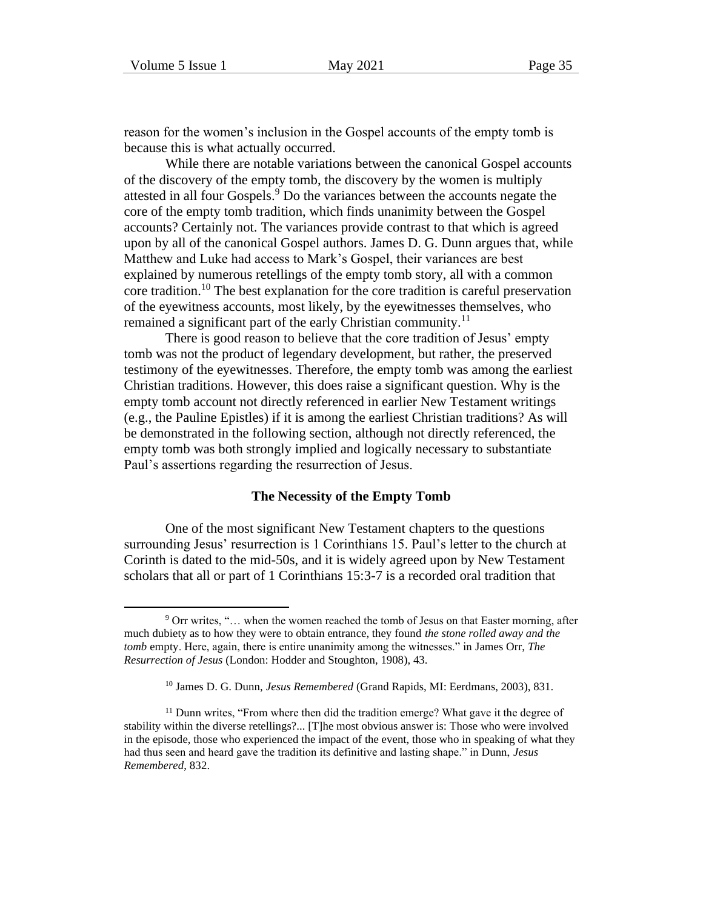reason for the women's inclusion in the Gospel accounts of the empty tomb is because this is what actually occurred.

While there are notable variations between the canonical Gospel accounts of the discovery of the empty tomb, the discovery by the women is multiply attested in all four Gospels.<sup>9</sup> Do the variances between the accounts negate the core of the empty tomb tradition, which finds unanimity between the Gospel accounts? Certainly not. The variances provide contrast to that which is agreed upon by all of the canonical Gospel authors. James D. G. Dunn argues that, while Matthew and Luke had access to Mark's Gospel, their variances are best explained by numerous retellings of the empty tomb story, all with a common core tradition.<sup>10</sup> The best explanation for the core tradition is careful preservation of the eyewitness accounts, most likely, by the eyewitnesses themselves, who remained a significant part of the early Christian community.<sup>11</sup>

There is good reason to believe that the core tradition of Jesus' empty tomb was not the product of legendary development, but rather, the preserved testimony of the eyewitnesses. Therefore, the empty tomb was among the earliest Christian traditions. However, this does raise a significant question. Why is the empty tomb account not directly referenced in earlier New Testament writings (e.g., the Pauline Epistles) if it is among the earliest Christian traditions? As will be demonstrated in the following section, although not directly referenced, the empty tomb was both strongly implied and logically necessary to substantiate Paul's assertions regarding the resurrection of Jesus.

#### **The Necessity of the Empty Tomb**

One of the most significant New Testament chapters to the questions surrounding Jesus' resurrection is 1 Corinthians 15. Paul's letter to the church at Corinth is dated to the mid-50s, and it is widely agreed upon by New Testament scholars that all or part of 1 Corinthians 15:3-7 is a recorded oral tradition that

<sup>&</sup>lt;sup>9</sup> Orr writes, "... when the women reached the tomb of Jesus on that Easter morning, after much dubiety as to how they were to obtain entrance, they found *the stone rolled away and the tomb* empty. Here, again, there is entire unanimity among the witnesses." in James Orr, *The Resurrection of Jesus* (London: Hodder and Stoughton, 1908), 43.

<sup>10</sup> James D. G. Dunn, *Jesus Remembered* (Grand Rapids, MI: Eerdmans, 2003), 831.

<sup>&</sup>lt;sup>11</sup> Dunn writes, "From where then did the tradition emerge? What gave it the degree of stability within the diverse retellings?... [T]he most obvious answer is: Those who were involved in the episode, those who experienced the impact of the event, those who in speaking of what they had thus seen and heard gave the tradition its definitive and lasting shape." in Dunn, *Jesus Remembered*, 832.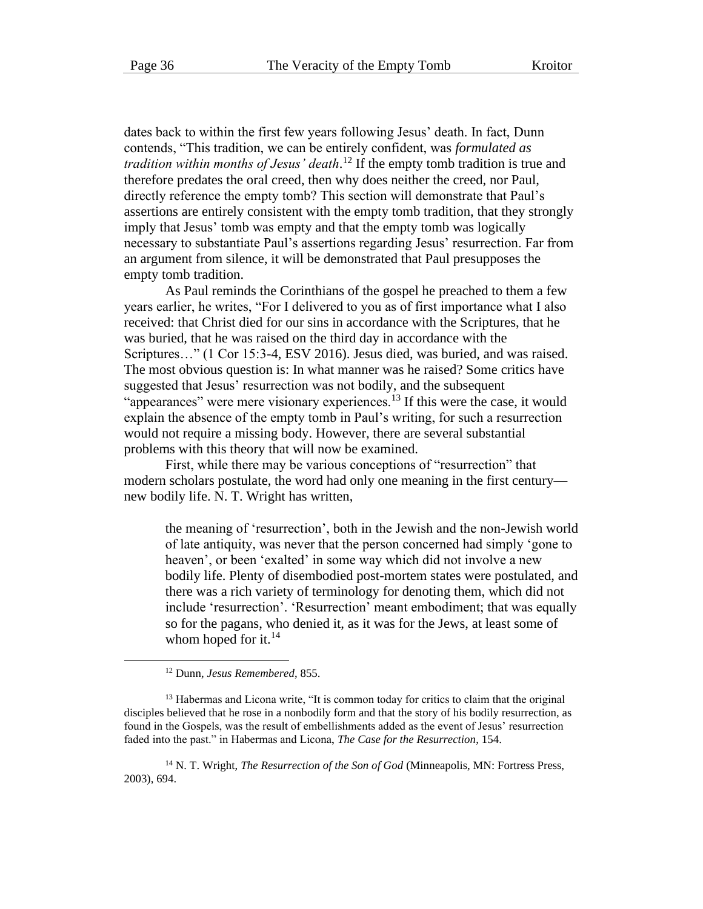dates back to within the first few years following Jesus' death. In fact, Dunn contends, "This tradition, we can be entirely confident, was *formulated as tradition within months of Jesus' death*. <sup>12</sup> If the empty tomb tradition is true and therefore predates the oral creed, then why does neither the creed, nor Paul, directly reference the empty tomb? This section will demonstrate that Paul's assertions are entirely consistent with the empty tomb tradition, that they strongly imply that Jesus' tomb was empty and that the empty tomb was logically necessary to substantiate Paul's assertions regarding Jesus' resurrection. Far from an argument from silence, it will be demonstrated that Paul presupposes the empty tomb tradition.

As Paul reminds the Corinthians of the gospel he preached to them a few years earlier, he writes, "For I delivered to you as of first importance what I also received: that Christ died for our sins in accordance with the Scriptures, that he was buried, that he was raised on the third day in accordance with the Scriptures…" (1 Cor 15:3-4, ESV 2016). Jesus died, was buried, and was raised. The most obvious question is: In what manner was he raised? Some critics have suggested that Jesus' resurrection was not bodily, and the subsequent "appearances" were mere visionary experiences.<sup>13</sup> If this were the case, it would explain the absence of the empty tomb in Paul's writing, for such a resurrection would not require a missing body. However, there are several substantial problems with this theory that will now be examined.

First, while there may be various conceptions of "resurrection" that modern scholars postulate, the word had only one meaning in the first century new bodily life. N. T. Wright has written,

the meaning of 'resurrection', both in the Jewish and the non-Jewish world of late antiquity, was never that the person concerned had simply 'gone to heaven', or been 'exalted' in some way which did not involve a new bodily life. Plenty of disembodied post-mortem states were postulated, and there was a rich variety of terminology for denoting them, which did not include 'resurrection'. 'Resurrection' meant embodiment; that was equally so for the pagans, who denied it, as it was for the Jews, at least some of whom hoped for it. $^{14}$ 

<sup>14</sup> N. T. Wright, *The Resurrection of the Son of God* (Minneapolis, MN: Fortress Press, 2003), 694.

<sup>12</sup> Dunn, *Jesus Remembered*, 855.

 $<sup>13</sup>$  Habermas and Licona write, "It is common today for critics to claim that the original</sup> disciples believed that he rose in a nonbodily form and that the story of his bodily resurrection, as found in the Gospels, was the result of embellishments added as the event of Jesus' resurrection faded into the past." in Habermas and Licona, *The Case for the Resurrection*, 154.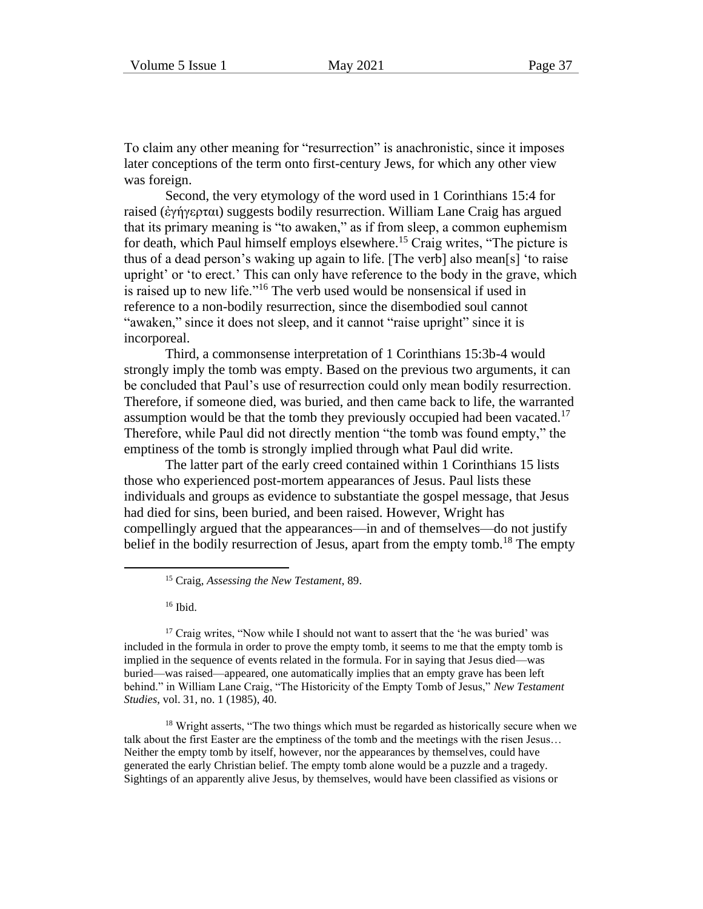To claim any other meaning for "resurrection" is anachronistic, since it imposes later conceptions of the term onto first-century Jews, for which any other view was foreign.

Second, the very etymology of the word used in 1 Corinthians 15:4 for raised (ἐγήγερται) suggests bodily resurrection. William Lane Craig has argued that its primary meaning is "to awaken," as if from sleep, a common euphemism for death, which Paul himself employs elsewhere.<sup>15</sup> Craig writes, "The picture is thus of a dead person's waking up again to life. [The verb] also mean[s] 'to raise upright' or 'to erect.' This can only have reference to the body in the grave, which is raised up to new life."<sup>16</sup> The verb used would be nonsensical if used in reference to a non-bodily resurrection, since the disembodied soul cannot "awaken," since it does not sleep, and it cannot "raise upright" since it is incorporeal.

Third, a commonsense interpretation of 1 Corinthians 15:3b-4 would strongly imply the tomb was empty. Based on the previous two arguments, it can be concluded that Paul's use of resurrection could only mean bodily resurrection. Therefore, if someone died, was buried, and then came back to life, the warranted assumption would be that the tomb they previously occupied had been vacated.<sup>17</sup> Therefore, while Paul did not directly mention "the tomb was found empty," the emptiness of the tomb is strongly implied through what Paul did write.

The latter part of the early creed contained within 1 Corinthians 15 lists those who experienced post-mortem appearances of Jesus. Paul lists these individuals and groups as evidence to substantiate the gospel message, that Jesus had died for sins, been buried, and been raised. However, Wright has compellingly argued that the appearances—in and of themselves—do not justify belief in the bodily resurrection of Jesus, apart from the empty tomb.<sup>18</sup> The empty

<sup>16</sup> Ibid.

<sup>17</sup> Craig writes, "Now while I should not want to assert that the 'he was buried' was included in the formula in order to prove the empty tomb, it seems to me that the empty tomb is implied in the sequence of events related in the formula. For in saying that Jesus died—was buried—was raised—appeared, one automatically implies that an empty grave has been left behind." in William Lane Craig, "The Historicity of the Empty Tomb of Jesus," *New Testament Studies*, vol. 31, no. 1 (1985), 40.

<sup>18</sup> Wright asserts, "The two things which must be regarded as historically secure when we talk about the first Easter are the emptiness of the tomb and the meetings with the risen Jesus… Neither the empty tomb by itself, however, nor the appearances by themselves, could have generated the early Christian belief. The empty tomb alone would be a puzzle and a tragedy. Sightings of an apparently alive Jesus, by themselves, would have been classified as visions or

<sup>15</sup> Craig, *Assessing the New Testament*, 89.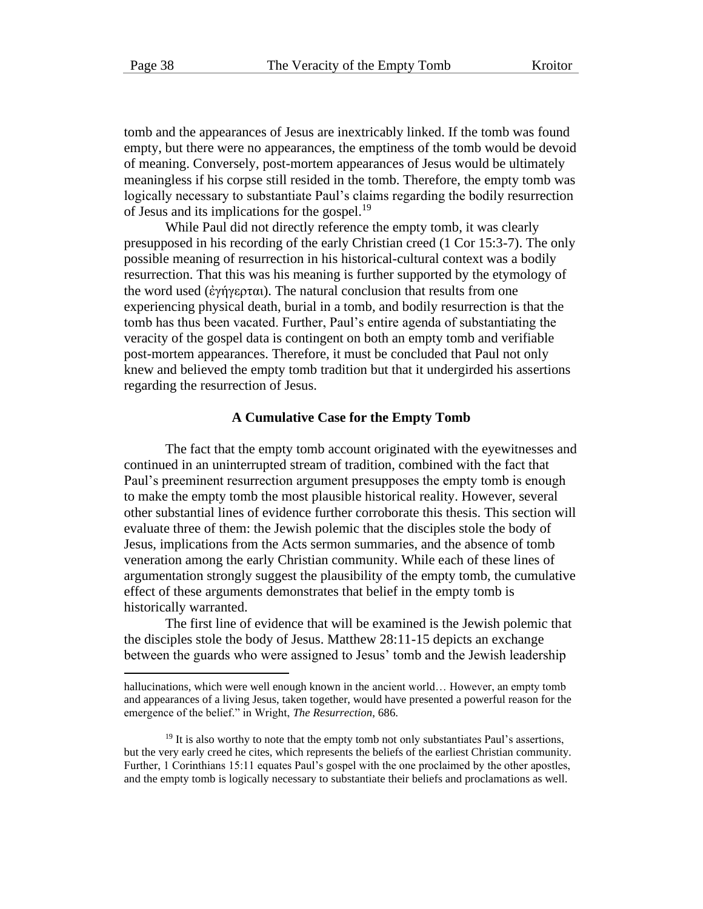tomb and the appearances of Jesus are inextricably linked. If the tomb was found empty, but there were no appearances, the emptiness of the tomb would be devoid of meaning. Conversely, post-mortem appearances of Jesus would be ultimately meaningless if his corpse still resided in the tomb. Therefore, the empty tomb was logically necessary to substantiate Paul's claims regarding the bodily resurrection of Jesus and its implications for the gospel.<sup>19</sup>

While Paul did not directly reference the empty tomb, it was clearly presupposed in his recording of the early Christian creed (1 Cor 15:3-7). The only possible meaning of resurrection in his historical-cultural context was a bodily resurrection. That this was his meaning is further supported by the etymology of the word used (ἐγήγερται). The natural conclusion that results from one experiencing physical death, burial in a tomb, and bodily resurrection is that the tomb has thus been vacated. Further, Paul's entire agenda of substantiating the veracity of the gospel data is contingent on both an empty tomb and verifiable post-mortem appearances. Therefore, it must be concluded that Paul not only knew and believed the empty tomb tradition but that it undergirded his assertions regarding the resurrection of Jesus.

#### **A Cumulative Case for the Empty Tomb**

The fact that the empty tomb account originated with the eyewitnesses and continued in an uninterrupted stream of tradition, combined with the fact that Paul's preeminent resurrection argument presupposes the empty tomb is enough to make the empty tomb the most plausible historical reality. However, several other substantial lines of evidence further corroborate this thesis. This section will evaluate three of them: the Jewish polemic that the disciples stole the body of Jesus, implications from the Acts sermon summaries, and the absence of tomb veneration among the early Christian community. While each of these lines of argumentation strongly suggest the plausibility of the empty tomb, the cumulative effect of these arguments demonstrates that belief in the empty tomb is historically warranted.

The first line of evidence that will be examined is the Jewish polemic that the disciples stole the body of Jesus. Matthew 28:11-15 depicts an exchange between the guards who were assigned to Jesus' tomb and the Jewish leadership

hallucinations, which were well enough known in the ancient world... However, an empty tomb and appearances of a living Jesus, taken together, would have presented a powerful reason for the emergence of the belief." in Wright, *The Resurrection*, 686.

 $19$  It is also worthy to note that the empty tomb not only substantiates Paul's assertions, but the very early creed he cites, which represents the beliefs of the earliest Christian community. Further, 1 Corinthians 15:11 equates Paul's gospel with the one proclaimed by the other apostles, and the empty tomb is logically necessary to substantiate their beliefs and proclamations as well.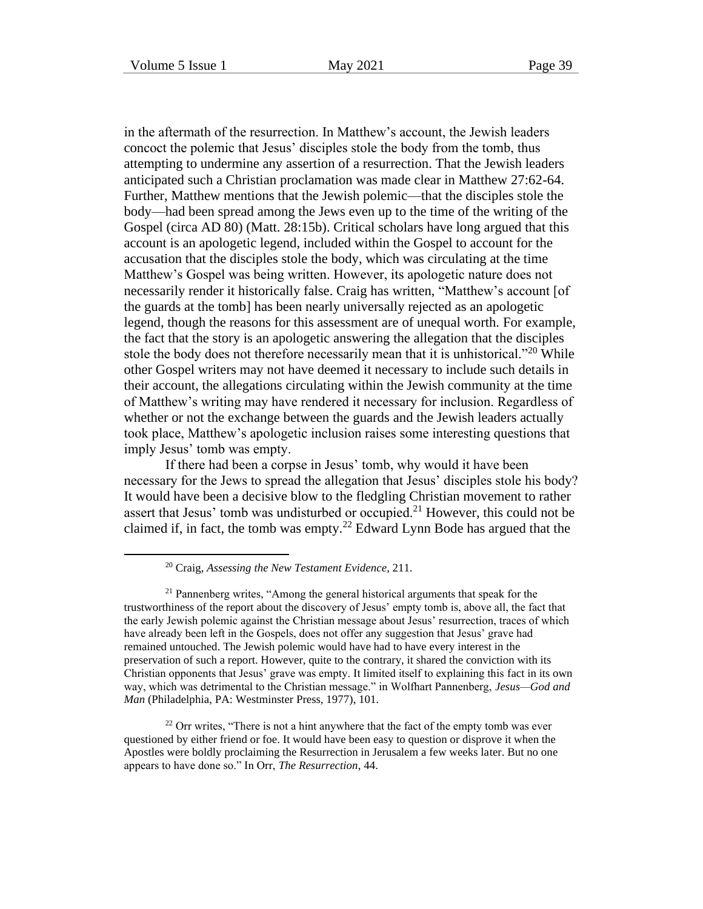in the aftermath of the resurrection. In Matthew's account, the Jewish leaders concoct the polemic that Jesus' disciples stole the body from the tomb, thus attempting to undermine any assertion of a resurrection. That the Jewish leaders anticipated such a Christian proclamation was made clear in Matthew 27:62-64. Further, Matthew mentions that the Jewish polemic—that the disciples stole the body—had been spread among the Jews even up to the time of the writing of the Gospel (circa AD 80) (Matt. 28:15b). Critical scholars have long argued that this account is an apologetic legend, included within the Gospel to account for the accusation that the disciples stole the body, which was circulating at the time Matthew's Gospel was being written. However, its apologetic nature does not necessarily render it historically false. Craig has written, "Matthew's account [of the guards at the tomb] has been nearly universally rejected as an apologetic legend, though the reasons for this assessment are of unequal worth. For example, the fact that the story is an apologetic answering the allegation that the disciples stole the body does not therefore necessarily mean that it is unhistorical."<sup>20</sup> While other Gospel writers may not have deemed it necessary to include such details in their account, the allegations circulating within the Jewish community at the time of Matthew's writing may have rendered it necessary for inclusion. Regardless of whether or not the exchange between the guards and the Jewish leaders actually took place, Matthew's apologetic inclusion raises some interesting questions that imply Jesus' tomb was empty.

If there had been a corpse in Jesus' tomb, why would it have been necessary for the Jews to spread the allegation that Jesus' disciples stole his body? It would have been a decisive blow to the fledgling Christian movement to rather assert that Jesus' tomb was undisturbed or occupied.<sup>21</sup> However, this could not be claimed if, in fact, the tomb was empty.<sup>22</sup> Edward Lynn Bode has argued that the

<sup>20</sup> Craig, *Assessing the New Testament Evidence*, 211.

<sup>&</sup>lt;sup>21</sup> Pannenberg writes, "Among the general historical arguments that speak for the trustworthiness of the report about the discovery of Jesus' empty tomb is, above all, the fact that the early Jewish polemic against the Christian message about Jesus' resurrection, traces of which have already been left in the Gospels, does not offer any suggestion that Jesus' grave had remained untouched. The Jewish polemic would have had to have every interest in the preservation of such a report. However, quite to the contrary, it shared the conviction with its Christian opponents that Jesus' grave was empty. It limited itself to explaining this fact in its own way, which was detrimental to the Christian message." in Wolfhart Pannenberg, *Jesus—God and Man* (Philadelphia, PA: Westminster Press, 1977), 101.

<sup>&</sup>lt;sup>22</sup> Orr writes, "There is not a hint anywhere that the fact of the empty tomb was ever questioned by either friend or foe. It would have been easy to question or disprove it when the Apostles were boldly proclaiming the Resurrection in Jerusalem a few weeks later. But no one appears to have done so." In Orr, *The Resurrection*, 44.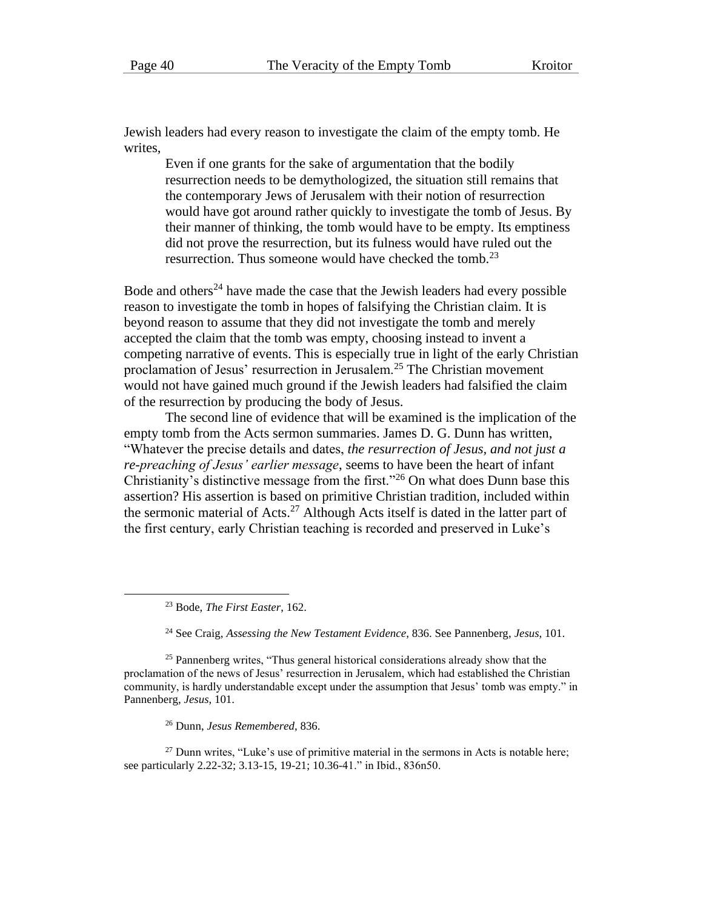Jewish leaders had every reason to investigate the claim of the empty tomb. He writes,

Even if one grants for the sake of argumentation that the bodily resurrection needs to be demythologized, the situation still remains that the contemporary Jews of Jerusalem with their notion of resurrection would have got around rather quickly to investigate the tomb of Jesus. By their manner of thinking, the tomb would have to be empty. Its emptiness did not prove the resurrection, but its fulness would have ruled out the resurrection. Thus someone would have checked the tomb.<sup>23</sup>

Bode and others<sup>24</sup> have made the case that the Jewish leaders had every possible reason to investigate the tomb in hopes of falsifying the Christian claim. It is beyond reason to assume that they did not investigate the tomb and merely accepted the claim that the tomb was empty, choosing instead to invent a competing narrative of events. This is especially true in light of the early Christian proclamation of Jesus' resurrection in Jerusalem.<sup>25</sup> The Christian movement would not have gained much ground if the Jewish leaders had falsified the claim of the resurrection by producing the body of Jesus.

The second line of evidence that will be examined is the implication of the empty tomb from the Acts sermon summaries. James D. G. Dunn has written, "Whatever the precise details and dates, *the resurrection of Jesus, and not just a re-preaching of Jesus' earlier message*, seems to have been the heart of infant Christianity's distinctive message from the first."<sup>26</sup> On what does Dunn base this assertion? His assertion is based on primitive Christian tradition, included within the sermonic material of Acts.<sup>27</sup> Although Acts itself is dated in the latter part of the first century, early Christian teaching is recorded and preserved in Luke's

<sup>24</sup> See Craig, *Assessing the New Testament Evidence*, 836. See Pannenberg, *Jesus*, 101.

<sup>25</sup> Pannenberg writes, "Thus general historical considerations already show that the proclamation of the news of Jesus' resurrection in Jerusalem, which had established the Christian community, is hardly understandable except under the assumption that Jesus' tomb was empty." in Pannenberg, *Jesus*, 101.

<sup>26</sup> Dunn, *Jesus Remembered*, 836.

 $27$  Dunn writes, "Luke's use of primitive material in the sermons in Acts is notable here; see particularly 2.22-32; 3.13-15, 19-21; 10.36-41." in Ibid., 836n50.

<sup>23</sup> Bode, *The First Easter*, 162.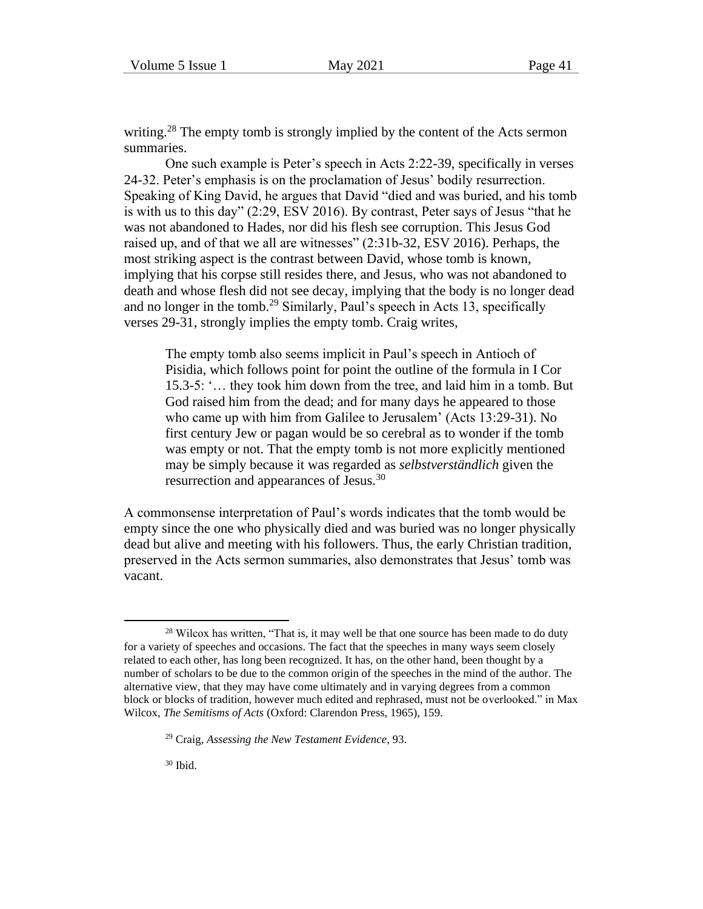writing.<sup>28</sup> The empty tomb is strongly implied by the content of the Acts sermon summaries.

One such example is Peter's speech in Acts 2:22-39, specifically in verses 24-32. Peter's emphasis is on the proclamation of Jesus' bodily resurrection. Speaking of King David, he argues that David "died and was buried, and his tomb is with us to this day" (2:29, ESV 2016). By contrast, Peter says of Jesus "that he was not abandoned to Hades, nor did his flesh see corruption. This Jesus God raised up, and of that we all are witnesses" (2:31b-32, ESV 2016). Perhaps, the most striking aspect is the contrast between David, whose tomb is known, implying that his corpse still resides there, and Jesus, who was not abandoned to death and whose flesh did not see decay, implying that the body is no longer dead and no longer in the tomb.<sup>29</sup> Similarly, Paul's speech in Acts 13, specifically verses 29-31, strongly implies the empty tomb. Craig writes,

The empty tomb also seems implicit in Paul's speech in Antioch of Pisidia, which follows point for point the outline of the formula in I Cor 15.3-5: '… they took him down from the tree, and laid him in a tomb. But God raised him from the dead; and for many days he appeared to those who came up with him from Galilee to Jerusalem' (Acts 13:29-31). No first century Jew or pagan would be so cerebral as to wonder if the tomb was empty or not. That the empty tomb is not more explicitly mentioned may be simply because it was regarded as *selbstverständlich* given the resurrection and appearances of Jesus.<sup>30</sup>

A commonsense interpretation of Paul's words indicates that the tomb would be empty since the one who physically died and was buried was no longer physically dead but alive and meeting with his followers. Thus, the early Christian tradition, preserved in the Acts sermon summaries, also demonstrates that Jesus' tomb was vacant.

<sup>&</sup>lt;sup>28</sup> Wilcox has written, "That is, it may well be that one source has been made to do duty for a variety of speeches and occasions. The fact that the speeches in many ways seem closely related to each other, has long been recognized. It has, on the other hand, been thought by a number of scholars to be due to the common origin of the speeches in the mind of the author. The alternative view, that they may have come ultimately and in varying degrees from a common block or blocks of tradition, however much edited and rephrased, must not be overlooked." in Max Wilcox, *The Semitisms of Acts* (Oxford: Clarendon Press, 1965), 159.

<sup>29</sup> Craig, *Assessing the New Testament Evidence*, 93.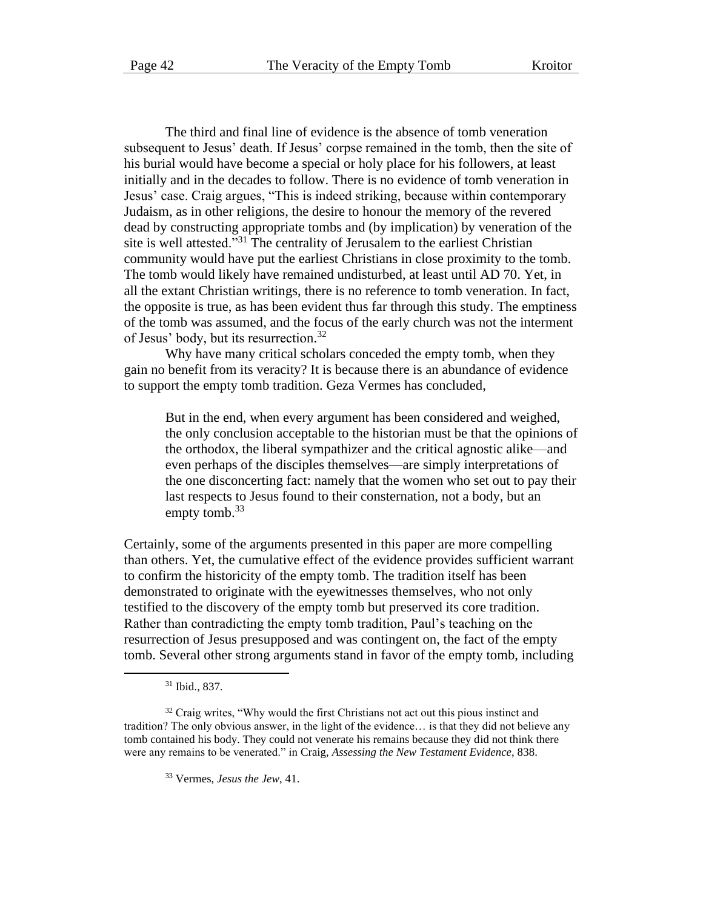The third and final line of evidence is the absence of tomb veneration subsequent to Jesus' death. If Jesus' corpse remained in the tomb, then the site of his burial would have become a special or holy place for his followers, at least initially and in the decades to follow. There is no evidence of tomb veneration in Jesus' case. Craig argues, "This is indeed striking, because within contemporary Judaism, as in other religions, the desire to honour the memory of the revered dead by constructing appropriate tombs and (by implication) by veneration of the site is well attested."<sup>31</sup> The centrality of Jerusalem to the earliest Christian community would have put the earliest Christians in close proximity to the tomb. The tomb would likely have remained undisturbed, at least until AD 70. Yet, in all the extant Christian writings, there is no reference to tomb veneration. In fact, the opposite is true, as has been evident thus far through this study. The emptiness of the tomb was assumed, and the focus of the early church was not the interment of Jesus' body, but its resurrection.<sup>32</sup>

Why have many critical scholars conceded the empty tomb, when they gain no benefit from its veracity? It is because there is an abundance of evidence to support the empty tomb tradition. Geza Vermes has concluded,

But in the end, when every argument has been considered and weighed, the only conclusion acceptable to the historian must be that the opinions of the orthodox, the liberal sympathizer and the critical agnostic alike—and even perhaps of the disciples themselves—are simply interpretations of the one disconcerting fact: namely that the women who set out to pay their last respects to Jesus found to their consternation, not a body, but an empty tomb. $33$ 

Certainly, some of the arguments presented in this paper are more compelling than others. Yet, the cumulative effect of the evidence provides sufficient warrant to confirm the historicity of the empty tomb. The tradition itself has been demonstrated to originate with the eyewitnesses themselves, who not only testified to the discovery of the empty tomb but preserved its core tradition. Rather than contradicting the empty tomb tradition, Paul's teaching on the resurrection of Jesus presupposed and was contingent on, the fact of the empty tomb. Several other strong arguments stand in favor of the empty tomb, including

<sup>31</sup> Ibid., 837.

<sup>&</sup>lt;sup>32</sup> Craig writes, "Why would the first Christians not act out this pious instinct and tradition? The only obvious answer, in the light of the evidence… is that they did not believe any tomb contained his body. They could not venerate his remains because they did not think there were any remains to be venerated." in Craig, *Assessing the New Testament Evidence*, 838.

<sup>33</sup> Vermes, *Jesus the Jew*, 41.